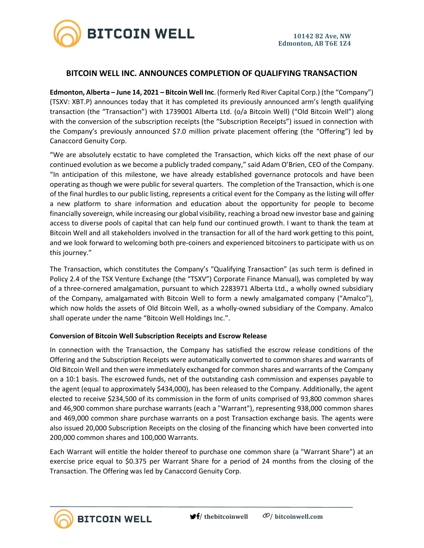

# **BITCOIN WELL INC. ANNOUNCES COMPLETION OF QUALIFYING TRANSACTION**

**Edmonton, Alberta – June 14, 2021 – Bitcoin Well Inc**. (formerly Red River Capital Corp.) (the "Company") (TSXV: XBT.P) announces today that it has completed its previously announced arm's length qualifying transaction (the "Transaction") with 1739001 Alberta Ltd. (o/a Bitcoin Well) ("Old Bitcoin Well") along with the conversion of the subscription receipts (the "Subscription Receipts") issued in connection with the Company's previously announced \$7.0 million private placement offering (the "Offering") led by Canaccord Genuity Corp.

"We are absolutely ecstatic to have completed the Transaction, which kicks off the next phase of our continued evolution as we become a publicly traded company," said Adam O'Brien, CEO of the Company. "In anticipation of this milestone, we have already established governance protocols and have been operating as though we were public for several quarters. The completion of the Transaction, which is one of the final hurdles to our public listing, represents a critical event for the Company as the listing will offer a new platform to share information and education about the opportunity for people to become financially sovereign, while increasing our global visibility, reaching a broad new investor base and gaining access to diverse pools of capital that can help fund our continued growth. I want to thank the team at Bitcoin Well and all stakeholders involved in the transaction for all of the hard work getting to this point, and we look forward to welcoming both pre-coiners and experienced bitcoiners to participate with us on this journey."

The Transaction, which constitutes the Company's "Qualifying Transaction" (as such term is defined in Policy 2.4 of the TSX Venture Exchange (the "TSXV") Corporate Finance Manual), was completed by way of a three-cornered amalgamation, pursuant to which 2283971 Alberta Ltd., a wholly owned subsidiary of the Company, amalgamated with Bitcoin Well to form a newly amalgamated company ("Amalco"), which now holds the assets of Old Bitcoin Well, as a wholly-owned subsidiary of the Company. Amalco shall operate under the name "Bitcoin Well Holdings Inc.".

### **Conversion of Bitcoin Well Subscription Receipts and Escrow Release**

**BITCOIN WELL** 

In connection with the Transaction, the Company has satisfied the escrow release conditions of the Offering and the Subscription Receipts were automatically converted to common shares and warrants of Old Bitcoin Well and then were immediately exchanged for common shares and warrants of the Company on a 10:1 basis. The escrowed funds, net of the outstanding cash commission and expenses payable to the agent (equal to approximately \$434,000), has been released to the Company. Additionally, the agent elected to receive \$234,500 of its commission in the form of units comprised of 93,800 common shares and 46,900 common share purchase warrants (each a "Warrant"), representing 938,000 common shares and 469,000 common share purchase warrants on a post Transaction exchange basis. The agents were also issued 20,000 Subscription Receipts on the closing of the financing which have been converted into 200,000 common shares and 100,000 Warrants.

Each Warrant will entitle the holder thereof to purchase one common share (a "Warrant Share") at an exercise price equal to \$0.375 per Warrant Share for a period of 24 months from the closing of the Transaction. The Offering was led by Canaccord Genuity Corp.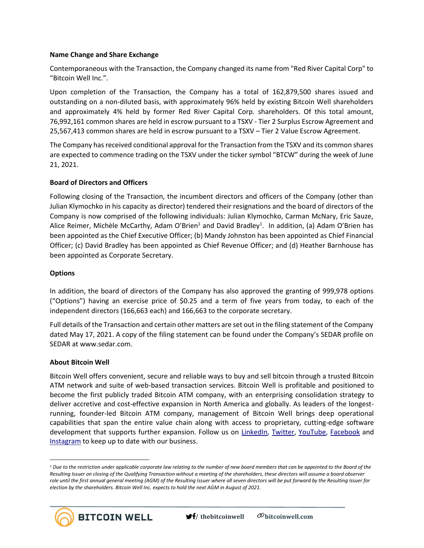### **Name Change and Share Exchange**

Contemporaneous with the Transaction, the Company changed its name from "Red River Capital Corp" to "Bitcoin Well Inc.".

Upon completion of the Transaction, the Company has a total of 162,879,500 shares issued and outstanding on a non-diluted basis, with approximately 96% held by existing Bitcoin Well shareholders and approximately 4% held by former Red River Capital Corp. shareholders. Of this total amount, 76,992,161 common shares are held in escrow pursuant to a TSXV - Tier 2 Surplus Escrow Agreement and 25,567,413 common shares are held in escrow pursuant to a TSXV – Tier 2 Value Escrow Agreement.

The Company has received conditional approval for the Transaction from the TSXV and its common shares are expected to commence trading on the TSXV under the ticker symbol "BTCW" during the week of June 21, 2021.

## **Board of Directors and Officers**

Following closing of the Transaction, the incumbent directors and officers of the Company (other than Julian Klymochko in his capacity as director) tendered their resignations and the board of directors of the Company is now comprised of the following individuals: Julian Klymochko, Carman McNary, Eric Sauze, Alice Reimer, Michèle McCarthy, Adam O'Brien<sup>1</sup> and David Bradley<sup>1</sup>. In addition, (a) Adam O'Brien has been appointed as the Chief Executive Officer; (b) Mandy Johnston has been appointed as Chief Financial Officer; (c) David Bradley has been appointed as Chief Revenue Officer; and (d) Heather Barnhouse has been appointed as Corporate Secretary.

### **Options**

In addition, the board of directors of the Company has also approved the granting of 999,978 options ("Options") having an exercise price of \$0.25 and a term of five years from today, to each of the independent directors (166,663 each) and 166,663 to the corporate secretary.

Full details of the Transaction and certain other matters are set out in the filing statement of the Company dated May 17, 2021. A copy of the filing statement can be found under the Company's SEDAR profile on SEDAR at www.sedar.com.

### **About Bitcoin Well**

Bitcoin Well offers convenient, secure and reliable ways to buy and sell bitcoin through a trusted Bitcoin ATM network and suite of web-based transaction services. Bitcoin Well is profitable and positioned to become the first publicly traded Bitcoin ATM company, with an enterprising consolidation strategy to deliver accretive and cost-effective expansion in North America and globally. As leaders of the longestrunning, founder-led Bitcoin ATM company, management of Bitcoin Well brings deep operational capabilities that span the entire value chain along with access to proprietary, cutting-edge software development that supports further expansion. Follow us on [LinkedIn,](https://www.linkedin.com/company/bitcoinwell/) [Twitter,](https://twitter.com/TheBitcoinWell) [YouTube,](https://www.youtube.com/channel/UCeHRFsSr3KEGD5kECjlvC4g) [Facebook](https://www.facebook.com/thebitcoinwell) and [Instagram](https://www.instagram.com/thebitcoinwell/) to keep up to date with our business.

*<sup>1</sup> Due to the restriction under applicable corporate law relating to the number of new board members that can be appointed to the Board of the Resulting Issuer on closing of the Qualifying Transaction without a meeting of the shareholders, these directors will assume a board observer role until the first annual general meeting (AGM) of the Resulting Issuer where all seven directors will be put forward by the Resulting Issuer for election by the shareholders. Bitcoin Well Inc. expects to hold the next AGM in August of 2021.*